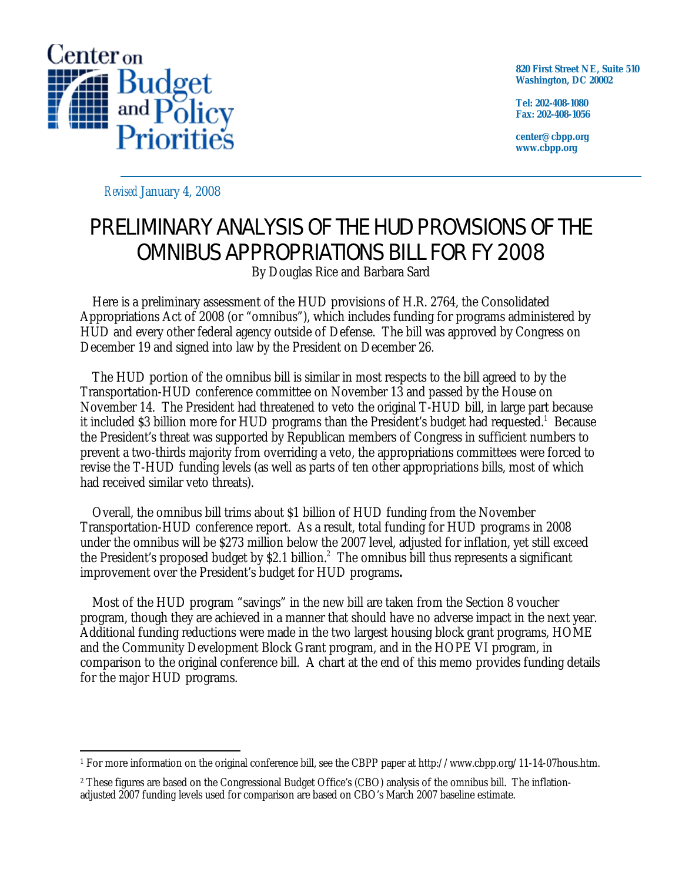

**820 First Street NE, Suite 510 Washington, DC 20002** 

**Tel: 202-408-1080 Fax: 202-408-1056** 

**center@cbpp.org www.cbpp.org** 

*Revised* January 4, 2008

# PRELIMINARY ANALYSIS OF THE HUD PROVISIONS OF THE OMNIBUS APPROPRIATIONS BILL FOR FY 2008

By Douglas Rice and Barbara Sard

 Here is a preliminary assessment of the HUD provisions of H.R. 2764, the Consolidated Appropriations Act of 2008 (or "omnibus"), which includes funding for programs administered by HUD and every other federal agency outside of Defense. The bill was approved by Congress on December 19 and signed into law by the President on December 26.

 The HUD portion of the omnibus bill is similar in most respects to the bill agreed to by the Transportation-HUD conference committee on November 13 and passed by the House on November 14. The President had threatened to veto the original T-HUD bill, in large part because it included \$3 billion more for HUD programs than the President's budget had requested.<sup>1</sup> Because the President's threat was supported by Republican members of Congress in sufficient numbers to prevent a two-thirds majority from overriding a veto, the appropriations committees were forced to revise the T-HUD funding levels (as well as parts of ten other appropriations bills, most of which had received similar veto threats).

 Overall, the omnibus bill trims about \$1 billion of HUD funding from the November Transportation-HUD conference report. As a result, total funding for HUD programs in 2008 under the omnibus will be \$273 million below the 2007 level, adjusted for inflation, yet still exceed the President's proposed budget by \$2.1 billion.<sup>2</sup> The omnibus bill thus represents a significant improvement over the President's budget for HUD programs**.** 

 Most of the HUD program "savings" in the new bill are taken from the Section 8 voucher program, though they are achieved in a manner that should have no adverse impact in the next year. Additional funding reductions were made in the two largest housing block grant programs, HOME and the Community Development Block Grant program, and in the HOPE VI program, in comparison to the original conference bill. A chart at the end of this memo provides funding details for the major HUD programs.

<sup>-</sup>1 For more information on the original conference bill, see the CBPP paper at http://www.cbpp.org/11-14-07hous.htm.

<sup>2</sup> These figures are based on the Congressional Budget Office's (CBO) analysis of the omnibus bill. The inflationadjusted 2007 funding levels used for comparison are based on CBO's March 2007 baseline estimate.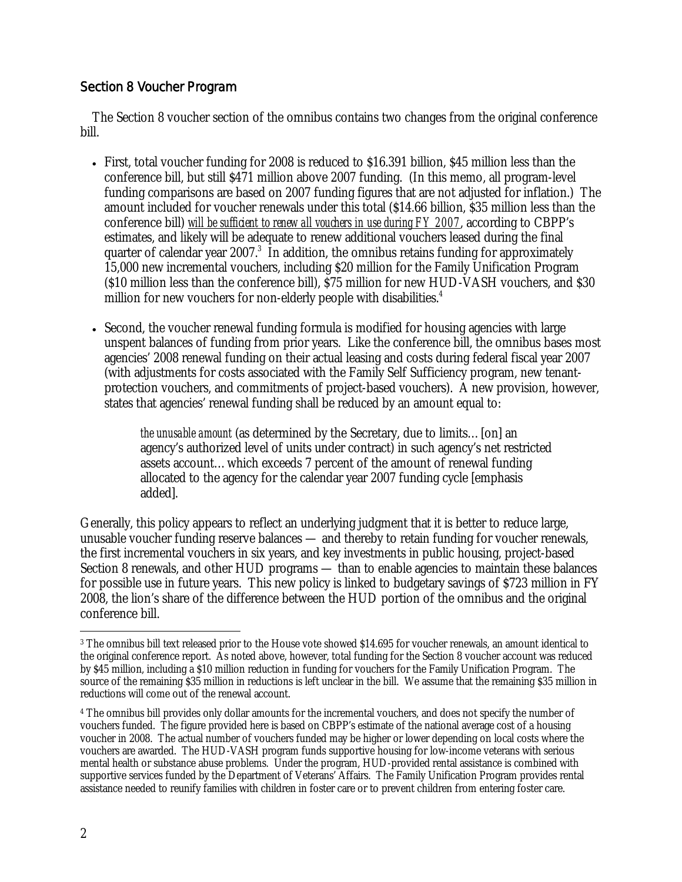## Section 8 Voucher Program

 The Section 8 voucher section of the omnibus contains two changes from the original conference bill.

- First, total voucher funding for 2008 is reduced to \$16.391 billion, \$45 million less than the conference bill, but still \$471 million above 2007 funding. (In this memo, all program-level funding comparisons are based on 2007 funding figures that are not adjusted for inflation.) The amount included for voucher renewals under this total (\$14.66 billion, \$35 million less than the conference bill) *will be sufficient to renew all vouchers in use during FY 2007*, according to CBPP's estimates, and likely will be adequate to renew additional vouchers leased during the final quarter of calendar year 2007.<sup>3</sup> In addition, the omnibus retains funding for approximately 15,000 new incremental vouchers, including \$20 million for the Family Unification Program (\$10 million less than the conference bill), \$75 million for new HUD-VASH vouchers, and \$30 million for new vouchers for non-elderly people with disabilities.<sup>4</sup>
- Second, the voucher renewal funding formula is modified for housing agencies with large unspent balances of funding from prior years. Like the conference bill, the omnibus bases most agencies' 2008 renewal funding on their actual leasing and costs during federal fiscal year 2007 (with adjustments for costs associated with the Family Self Sufficiency program, new tenantprotection vouchers, and commitments of project-based vouchers). A new provision, however, states that agencies' renewal funding shall be reduced by an amount equal to:

*the unusable amount* (as determined by the Secretary, due to limits…[on] an agency's authorized level of units under contract) in such agency's net restricted assets account…which exceeds 7 percent of the amount of renewal funding allocated to the agency for the calendar year 2007 funding cycle [emphasis added].

Generally, this policy appears to reflect an underlying judgment that it is better to reduce large, unusable voucher funding reserve balances — and thereby to retain funding for voucher renewals, the first incremental vouchers in six years, and key investments in public housing, project-based Section 8 renewals, and other HUD programs — than to enable agencies to maintain these balances for possible use in future years. This new policy is linked to budgetary savings of \$723 million in FY 2008, the lion's share of the difference between the HUD portion of the omnibus and the original conference bill.

 $\overline{a}$ 3 The omnibus bill text released prior to the House vote showed \$14.695 for voucher renewals, an amount identical to the original conference report. As noted above, however, total funding for the Section 8 voucher account was reduced by \$45 million, including a \$10 million reduction in funding for vouchers for the Family Unification Program. The source of the remaining \$35 million in reductions is left unclear in the bill. We assume that the remaining \$35 million in reductions will come out of the renewal account.

<sup>4</sup> The omnibus bill provides only dollar amounts for the incremental vouchers, and does not specify the number of vouchers funded. The figure provided here is based on CBPP's estimate of the national average cost of a housing voucher in 2008. The actual number of vouchers funded may be higher or lower depending on local costs where the vouchers are awarded. The HUD-VASH program funds supportive housing for low-income veterans with serious mental health or substance abuse problems. Under the program, HUD-provided rental assistance is combined with supportive services funded by the Department of Veterans' Affairs. The Family Unification Program provides rental assistance needed to reunify families with children in foster care or to prevent children from entering foster care.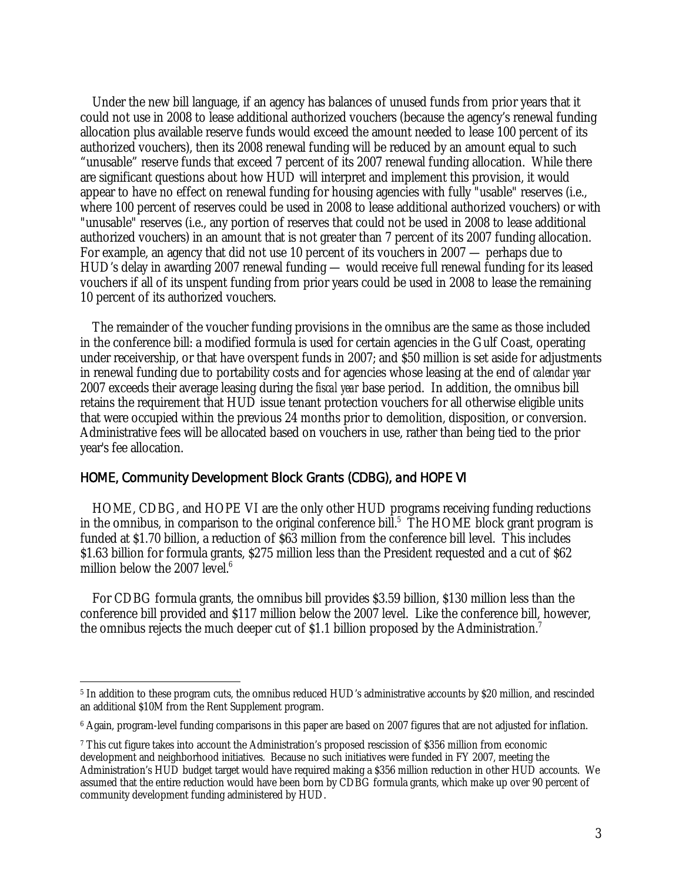Under the new bill language, if an agency has balances of unused funds from prior years that it could not use in 2008 to lease additional authorized vouchers (because the agency's renewal funding allocation plus available reserve funds would exceed the amount needed to lease 100 percent of its authorized vouchers), then its 2008 renewal funding will be reduced by an amount equal to such "unusable" reserve funds that exceed 7 percent of its 2007 renewal funding allocation. While there are significant questions about how HUD will interpret and implement this provision, it would appear to have no effect on renewal funding for housing agencies with fully "usable" reserves (i.e., where 100 percent of reserves could be used in 2008 to lease additional authorized vouchers) or with "unusable" reserves (i.e., any portion of reserves that could not be used in 2008 to lease additional authorized vouchers) in an amount that is not greater than 7 percent of its 2007 funding allocation. For example, an agency that did not use 10 percent of its vouchers in 2007 — perhaps due to HUD's delay in awarding 2007 renewal funding — would receive full renewal funding for its leased vouchers if all of its unspent funding from prior years could be used in 2008 to lease the remaining 10 percent of its authorized vouchers.

 The remainder of the voucher funding provisions in the omnibus are the same as those included in the conference bill: a modified formula is used for certain agencies in the Gulf Coast, operating under receivership, or that have overspent funds in 2007; and \$50 million is set aside for adjustments in renewal funding due to portability costs and for agencies whose leasing at the end of *calendar year*  2007 exceeds their average leasing during the *fiscal year* base period. In addition, the omnibus bill retains the requirement that HUD issue tenant protection vouchers for all otherwise eligible units that were occupied within the previous 24 months prior to demolition, disposition, or conversion. Administrative fees will be allocated based on vouchers in use, rather than being tied to the prior year's fee allocation.

#### HOME, Community Development Block Grants (CDBG), and HOPE VI

 HOME, CDBG, and HOPE VI are the only other HUD programs receiving funding reductions in the omnibus, in comparison to the original conference bill.<sup>5</sup> The HOME block grant program is funded at \$1.70 billion, a reduction of \$63 million from the conference bill level. This includes \$1.63 billion for formula grants, \$275 million less than the President requested and a cut of \$62 million below the 2007 level. $6$ 

 For CDBG formula grants, the omnibus bill provides \$3.59 billion, \$130 million less than the conference bill provided and \$117 million below the 2007 level. Like the conference bill, however, the omnibus rejects the much deeper cut of \$1.1 billion proposed by the Administration.<sup>7</sup>

<sup>-</sup>5 In addition to these program cuts, the omnibus reduced HUD's administrative accounts by \$20 million, and rescinded an additional \$10M from the Rent Supplement program.

<sup>6</sup> Again, program-level funding comparisons in this paper are based on 2007 figures that are not adjusted for inflation.

<sup>7</sup> This cut figure takes into account the Administration's proposed rescission of \$356 million from economic development and neighborhood initiatives. Because no such initiatives were funded in FY 2007, meeting the Administration's HUD budget target would have required making a \$356 million reduction in other HUD accounts. We assumed that the entire reduction would have been born by CDBG formula grants, which make up over 90 percent of community development funding administered by HUD.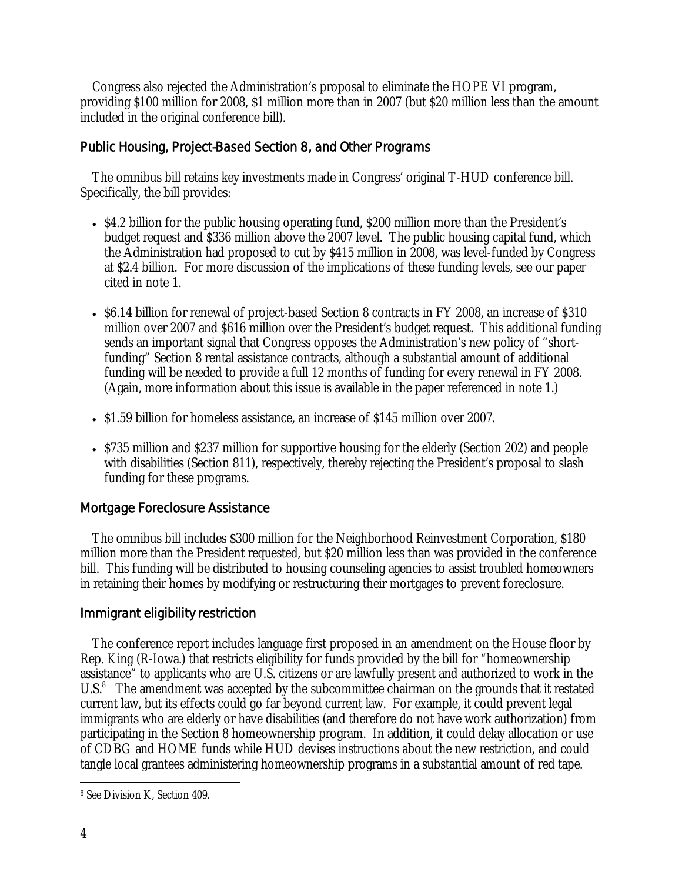Congress also rejected the Administration's proposal to eliminate the HOPE VI program, providing \$100 million for 2008, \$1 million more than in 2007 (but \$20 million less than the amount included in the original conference bill).

## Public Housing, Project-Based Section 8, and Other Programs

 The omnibus bill retains key investments made in Congress' original T-HUD conference bill. Specifically, the bill provides:

- \$4.2 billion for the public housing operating fund, \$200 million more than the President's budget request and \$336 million above the 2007 level. The public housing capital fund, which the Administration had proposed to cut by \$415 million in 2008, was level-funded by Congress at \$2.4 billion. For more discussion of the implications of these funding levels, see our paper cited in note 1.
- \$6.14 billion for renewal of project-based Section 8 contracts in FY 2008, an increase of \$310 million over 2007 and \$616 million over the President's budget request. This additional funding sends an important signal that Congress opposes the Administration's new policy of "shortfunding" Section 8 rental assistance contracts, although a substantial amount of additional funding will be needed to provide a full 12 months of funding for every renewal in FY 2008. (Again, more information about this issue is available in the paper referenced in note 1.)
- \$1.59 billion for homeless assistance, an increase of \$145 million over 2007.
- \$735 million and \$237 million for supportive housing for the elderly (Section 202) and people with disabilities (Section 811), respectively, thereby rejecting the President's proposal to slash funding for these programs.

## Mortgage Foreclosure Assistance

 The omnibus bill includes \$300 million for the Neighborhood Reinvestment Corporation, \$180 million more than the President requested, but \$20 million less than was provided in the conference bill. This funding will be distributed to housing counseling agencies to assist troubled homeowners in retaining their homes by modifying or restructuring their mortgages to prevent foreclosure.

## Immigrant eligibility restriction

 The conference report includes language first proposed in an amendment on the House floor by Rep. King (R-Iowa.) that restricts eligibility for funds provided by the bill for "homeownership assistance" to applicants who are U.S. citizens or are lawfully present and authorized to work in the U.S.<sup>8</sup> The amendment was accepted by the subcommittee chairman on the grounds that it restated current law, but its effects could go far beyond current law. For example, it could prevent legal immigrants who are elderly or have disabilities (and therefore do not have work authorization) from participating in the Section 8 homeownership program. In addition, it could delay allocation or use of CDBG and HOME funds while HUD devises instructions about the new restriction, and could tangle local grantees administering homeownership programs in a substantial amount of red tape.

 $\overline{a}$ 8 See Division K, Section 409.